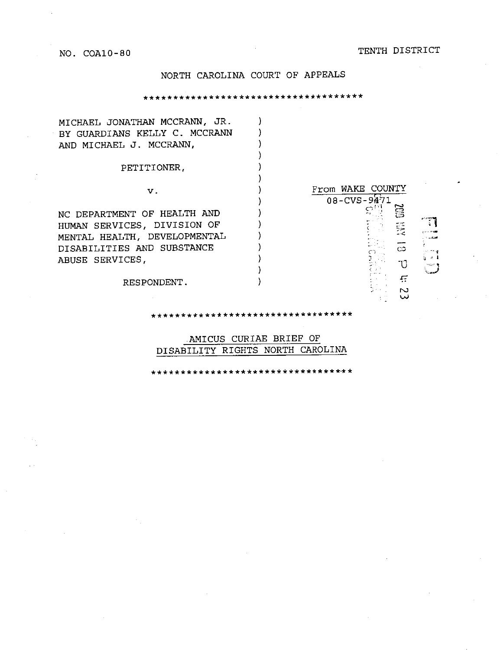NO. COA10-80 TENTH DISTRICT

# NORTH CAROLINA COURT OF APPEALS

\*\*\*\*\*\*\*\*\*\*\*\*\*\*\*\*\*\*\*\*\*\*\*\*\*\*\*\*\*\*\*\*\*\*\*\*\*

| MICHAEL JONATHAN MCCRANN, JR. |                           |
|-------------------------------|---------------------------|
| BY GUARDIANS KELLY C. MCCRANN |                           |
| AND MICHAEL J. MCCRANN,       |                           |
|                               |                           |
| PETITIONER,                   |                           |
|                               |                           |
| ν.                            | From WAKE COUNTY          |
|                               | $08 - CVS - 9471$         |
| NC DEPARTMENT OF HEALTH AND   |                           |
| HUMAN SERVICES, DIVISION OF   | 貶                         |
| MENTAL HEALTH, DEVELOPMENTAL  |                           |
| DISABILITIES AND SUBSTANCE    | $\infty$                  |
| ABUSE SERVICES,               | ાં કરી                    |
|                               |                           |
| RESPONDENT.                   | Æ                         |
|                               | N                         |
|                               |                           |
|                               | ************************* |

AMICUS CURIAE BRIEF OF DISABILITY RIGHTS NORTH CAROLINA

\* \* \* \* \* \* \* \* \* \* \* \* \* \*\*\* \*\* \* \* \* \* \* \* \* \* \*\*\*\* \* \*·\* \*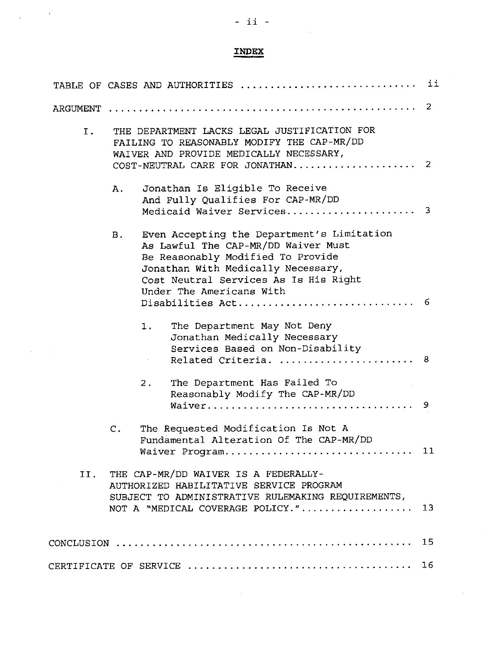# - ii -

 $\mathcal{L}_{\mathcal{A}}$ 

 $\frac{1}{\sqrt{2}}\left( \frac{1}{\sqrt{2}}\right) \left( \frac{1}{\sqrt{2}}\right) \left( \frac{1}{\sqrt{2}}\right)$ 

 $\hat{\mathcal{A}}$ 

# **INDEX**

|          | TABLE OF CASES AND AUTHORITIES                                                                                                                                                                                                                                   | ii |  |  |
|----------|------------------------------------------------------------------------------------------------------------------------------------------------------------------------------------------------------------------------------------------------------------------|----|--|--|
| ARGUMENT | 2                                                                                                                                                                                                                                                                |    |  |  |
| Ι.       | THE DEPARTMENT LACKS LEGAL JUSTIFICATION FOR<br>FAILING TO REASONABLY MODIFY THE CAP-MR/DD<br>WAIVER AND PROVIDE MEDICALLY NECESSARY,<br>-2<br>COST-NEUTRAL CARE FOR JONATHAN                                                                                    |    |  |  |
|          | Jonathan Is Eligible To Receive<br>Α.<br>And Fully Qualifies For CAP-MR/DD<br>Medicaid Waiver Services 3                                                                                                                                                         |    |  |  |
|          | Even Accepting the Department's Limitation<br>В.<br>As Lawful The CAP-MR/DD Waiver Must<br>Be Reasonably Modified To Provide<br>Jonathan With Medically Necessary,<br>Cost Neutral Services As Is His Right<br>Under The Americans With<br>6<br>Disabilities Act |    |  |  |
|          | The Department May Not Deny<br>1.<br>Jonathan Medically Necessary<br>Services Based on Non-Disability<br>Related Criteria.<br>8                                                                                                                                  |    |  |  |
|          | The Department Has Failed To<br>$2$ .<br>Reasonably Modify The CAP-MR/DD<br>9                                                                                                                                                                                    |    |  |  |
|          | The Requested Modification Is Not A<br>$\mathsf{C}$ .<br>Fundamental Alteration Of The CAP-MR/DD<br>Waiver Program 11                                                                                                                                            |    |  |  |
| II.      | THE CAP-MR/DD WAIVER IS A FEDERALLY-<br>AUTHORIZED HABILITATIVE SERVICE PROGRAM<br>SUBJECT TO ADMINISTRATIVE RULEMAKING REQUIREMENTS,<br>NOT A "MEDICAL COVERAGE POLICY."<br>13                                                                                  |    |  |  |
|          | 15                                                                                                                                                                                                                                                               |    |  |  |
|          |                                                                                                                                                                                                                                                                  |    |  |  |

 $\sim$   $\sim$ 

 $\sim$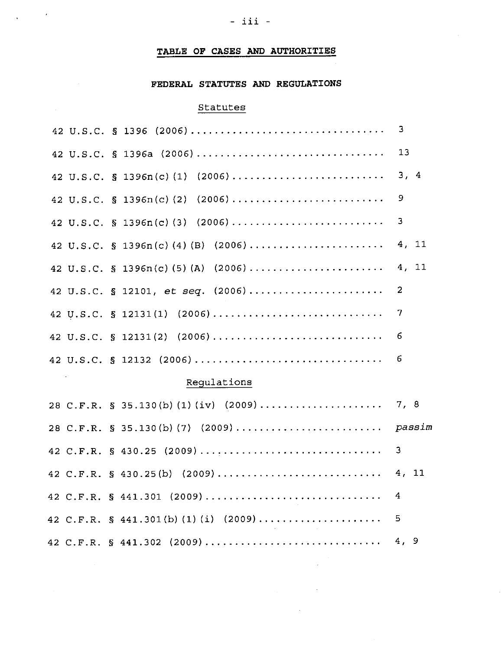# **TABLE OF CASES AND AUTHORITIES**

# **FEDERAL STATUTES AND REGULATIONS**

# Statutes

 $\label{eq:2.1} \frac{1}{\sqrt{2\pi}}\int_{0}^{\infty}\frac{1}{\sqrt{2\pi}}\left(\frac{1}{\sqrt{2\pi}}\right)^{2\sqrt{2}}\frac{1}{\sqrt{2\pi}}\int_{0}^{\infty}\frac{1}{\sqrt{2\pi}}\frac{1}{\sqrt{2\pi}}\frac{1}{\sqrt{2\pi}}\frac{1}{\sqrt{2\pi}}\frac{1}{\sqrt{2\pi}}\frac{1}{\sqrt{2\pi}}\frac{1}{\sqrt{2\pi}}\frac{1}{\sqrt{2\pi}}\frac{1}{\sqrt{2\pi}}\frac{1}{\sqrt{2\pi}}\frac{1}{\sqrt{2\pi}}\$ 

 $\sim 10^7$ 

 $\sim$   $\sim$ 

 $\mathcal{L}^{\text{max}}_{\text{max}}$ 

# Regulations

 $\mathcal{L}_{\mathcal{A}}$ 

 $\sim$   $\sim$ 

 $\sim$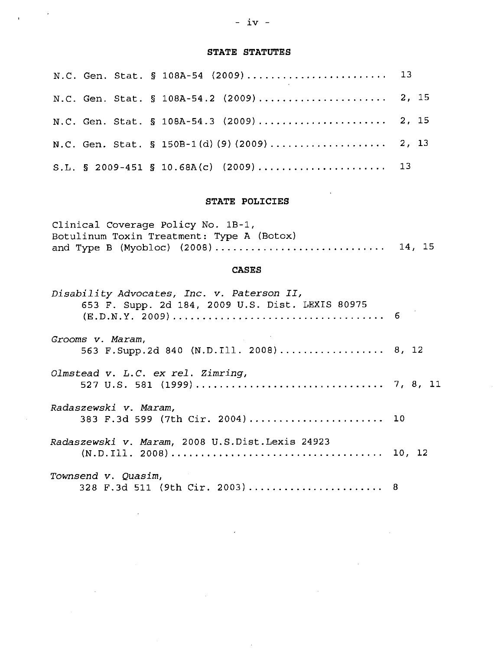# - iv -

 $\mathcal{L}^{\text{max}}_{\text{max}}$ 

 $\overline{1}$ 

# **STATE STATUTES**

|  |  | N.C. Gen. Stat. § 108A-54 (2009) 13      |  |
|--|--|------------------------------------------|--|
|  |  |                                          |  |
|  |  | N.C. Gen. Stat. § 108A-54.3 (2009) 2, 15 |  |
|  |  |                                          |  |
|  |  |                                          |  |

## **STATE POLICIES**

| Clinical Coverage Policy No. 1B-1,        |  |
|-------------------------------------------|--|
| Botulinum Toxin Treatment: Type A (Botox) |  |
|                                           |  |

#### **CASES**

| Disability Advocates, Inc. v. Paterson II,<br>653 F. Supp. 2d 184, 2009 U.S. Dist. LEXIS 80975 |  |
|------------------------------------------------------------------------------------------------|--|
| Grooms v. Maram,<br>563 F. Supp. 2d 840 (N.D. Ill. 2008) 8, 12                                 |  |
| Olmstead v. L.C. ex rel. Zimring,                                                              |  |
| Radaszewski v. Maram,<br>383 F.3d 599 (7th Cir. 2004) 10                                       |  |
| Radaszewski v. Maram, 2008 U.S.Dist.Lexis 24923                                                |  |
| Townsend v. Quasim,<br>328 F.3d 511 (9th Cir. 2003)  8                                         |  |

 $\mathcal{L}$ 

 $\bar{z}$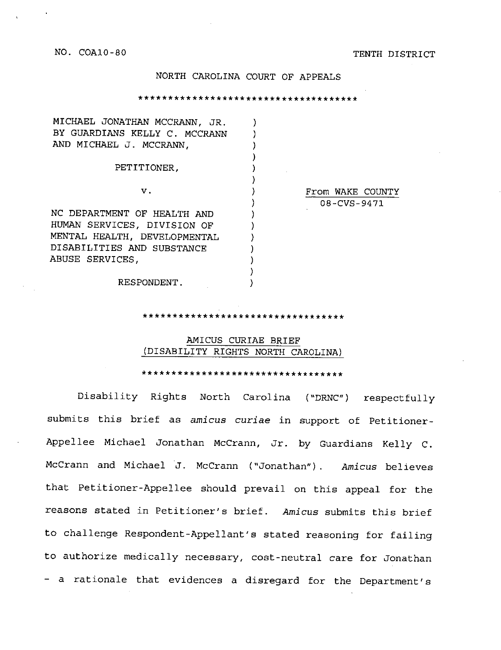NO. COA10-80 TENTH DISTRICT

#### NORTH CAROLINA COURT OF APPEALS

\*\*\*\*\*\*\*\*\*\*\*\*\*\*\*\*\*\*\*\*\*\*\*\*\*\*\*\*\*\*\*\*\*\*\*\*\*

| MICHAEL JONATHAN MCCRANN, JR. |                  |
|-------------------------------|------------------|
| BY GUARDIANS KELLY C. MCCRANN |                  |
| AND MICHAEL J. MCCRANN,       |                  |
|                               |                  |
| PETITIONER,                   |                  |
|                               |                  |
| v.                            | From WAKE COUNTY |
|                               | 08-CVS-9471      |
| NC DEPARTMENT OF HEALTH AND   |                  |
| HUMAN SERVICES, DIVISION OF   |                  |
| MENTAL HEALTH, DEVELOPMENTAL  |                  |
| DISABILITIES AND SUBSTANCE    |                  |
| ABUSE SERVICES,               |                  |
|                               |                  |
| RESPONDENT.                   |                  |

\*\*\*\*\*\*\*\*\*\*\*\*\*\*\*\*\*\*\*\*\*\*\*\*\*\*\*\*\*\*\*\*

#### AMICUS CURIAE BRIEF (DISABILITY RIGHTS NORTH CAROLINA)

\*\*\*\*\*\*\*\*\*\*\*\*\*\*\*\*\*\*\*\*\*\*\*\*\*\*\*\*\*\*\*\*\*\*

Disability Rights North Carolina ("DRNC") respectfully submits this brief as *amicus curiae* in support of Petitioner-Appellee Michael Jonathan McCrann, Jr. by Guardians Kelly C. McCrann and Michael J. McCrann ("Jonathan") . *Amicus* believes that Petitioner-Appellee should prevail on this appeal for the reasons stated in Petitioner's brief. *Amicus* submits this brief to challenge Respondent-Appellant's stated reasoning for failing to authorize medically necessary, cost-neutral care for Jonathan - a rationale that evidences a disregard for the Department's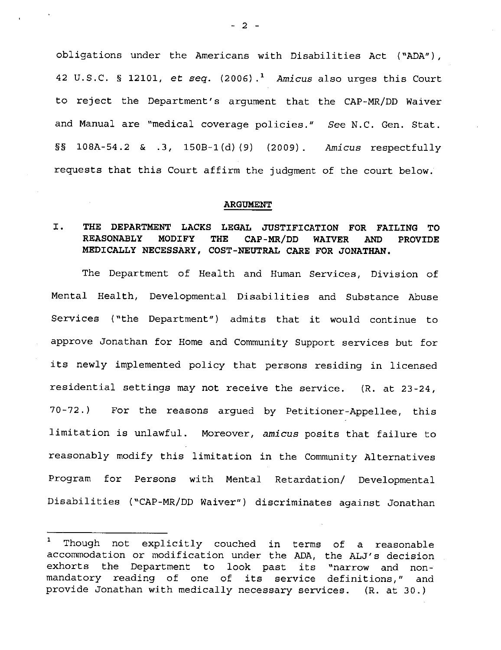obligations under the Americans with Disabilities Act ("ADA"), 42 U.S.C. § 12101, *et seq.* (2006).<sup>1</sup> Amicus also urges this Court to reject the Department's argument that the CAP-MR/DD Waiver and Manual are "medical coverage policies." *See* N.C. Gen. Stat. §§ l0BA-54.2 & .3, 150B-l(d)(9) (2009). *Amicus* respectfully requests that this Court affirm the judgment of the court below.

#### **ARGUMENT**

## I. **THE DEPARTMENT LACKS LEGAL JUSTIFICATION FOR FAILING TO REASONABLY MODIFY THE CAP-MR/DD WAIVER AND PROVIDE MEDICALLY NECESSARY, COST-NEUTRAL CARE FOR JONATHAN.**

The Department of Health and Human Services, Division of Mental Health, Developmental Disabilities and Substance Abuse Services ( "the Department") admits that it would continue to approve Jonathan for Home and Community Support services but for its newly implemented policy that persons residing in licensed residential settings may not receive the service. (R. at 23-24, 70-72.) For the reasons argued by Petitioner-Appellee, this limitation is unlawful. Moreover, *amicus* posits that failure to reasonably modify this limitation in the Community Alternatives Program for Persons with Mental Retardation/ Developmental Disabilities ( "CAP-MR/DD Waiver") discriminates against Jonathan

- 2 -

<sup>&</sup>lt;sup>1</sup> Though not explicitly couched in terms of a reasonable accommodation or modification under the ADA, the ALJ's decision exhorts the Department to look past its "narrow and nonmandatory reading of one of its service definitions," and provide Jonathan with medically necessary services. (R. at 30.)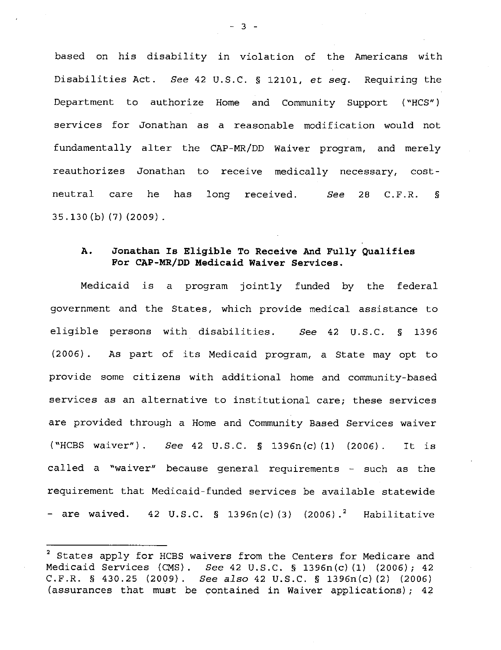based on his disability in violation of the Americans with Disabilities Act. *See* 42 U.S.C. § 12101, *et seq.* Requiring the Department to authorize Home and Community Support ("HCS") services for Jonathan as a reasonable modification would not fundamentally alter the CAP-MR/DD Waiver program, and merely reauthorizes Jonathan to receive medically necessary, costneutral care he has long received. *See* 28 C.F.R. § 35 .130 (b) (7) (2009).

### **A. Jonathan Is Eligible To Receive And Fully Qualifies For CAP-MR/DD Medicaid Waiver Services.**

Medicaid is a program jointly funded by the federal government and the States, which provide medical assistance to eligible persons with disabilities. *See* 42 u.s.c. § 1396 (2006) . As part of its Medicaid program, a State may opt to provide some citizens with additional home and community-based services as an alternative to institutional care; these services are provided through a Home and Community Based Services waiver ( "HCBS waiver") . See 42 u.s.c. § 1396n(c) (1) (2006). It is called a "waiver" because general requirements - such as the requirement that Medicaid-funded services be available statewide - are waived.  $42 \text{ U.S.C. }$  § 1396n(c)(3) (2006).<sup>2</sup> Habilitative

 $-3 -$ 

<sup>&</sup>lt;sup>2</sup> States apply for HCBS waivers from the Centers for Medicare and Medicaid Services (CMS). See 42 U.S.C. § 1396n(c)(l) (2006); 42 C.F.R. § 430.25 (2009). *See also* 42 U.S.C. § 1396n(c) (2) (2006) (assurances that must be contained in Waiver applications); 42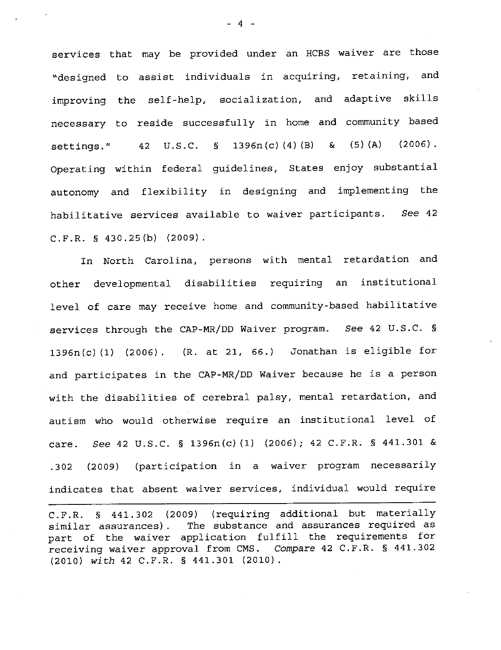services that may be provided under an HCBS waiver are those "designed to assist individuals in acquiring, retaining, and improving the self-help, socialization, and adaptive skills necessary to reside successfully in home and community based settings."  $42 \text{ U.S.C. }$  \$ 1396n(c)(4)(B) & (5)(A) (2006). Operating within federal guidelines, States enjoy substantial autonomy and flexibility in designing and implementing the habilitative services available to waiver participants. See 42 C.F.R. § 430.25 (b) (2009).

In North Carolina, persons with mental retardation and other developmental disabilities requiring an institutional level of care may receive home and community-based habilitative services through the CAP-MR/DD Waiver program. See 42 U.S.C. § 1396n(c) (1) (2006). (R. at 21, 66.) Jonathan is eligible for and participates in the CAP-MR/DD Waiver because he is a person with the disabilities of cerebral palsy, mental retardation, and autism who would otherwise require an institutional level of care. See 42 U.S.C. § 1396n(c) (1) (2006); 42 C.F.R. § 441.301 & .302 (2009) (participation in a waiver program necessarily indicates that absent waiver services, individual would require

C.F.R. § 441.302 (2009) (requiring additional but materially similar assurances) . The substance and assurances required as part of the waiver application fulfill the requirements for receiving waiver approval from CMS. *Compare* 42 C.F.R. § 441.302 (2010) *with* 42 C.F.R. § 441.301 (2010).

- 4 -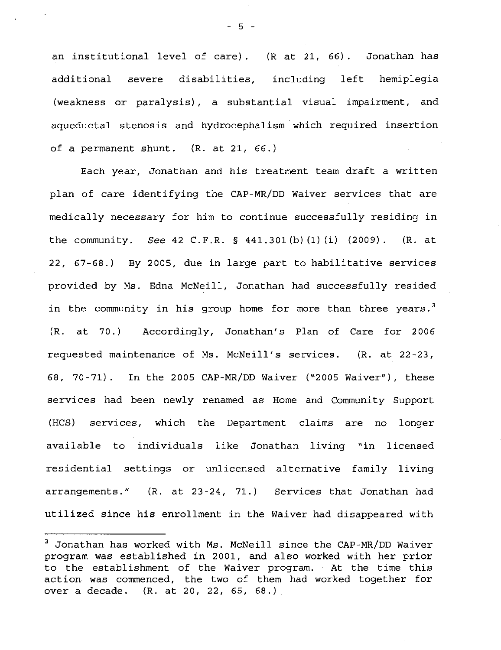an institutional level of care). (R at 21, 66). Jonathan has additional severe disabilities, including left hemiplegia (weakness or paralysis), a substantial visual impairment, and aqueductal stenosis and hydrocephalism which required insertion of a permanent shunt. (R. at 21, 66.)

Each year, Jonathan and his treatment team draft a written plan of care identifying the CAP-MR/DD Waiver services that are medically necessary for him to continue successfully residing in the community. See 42 C.F.R. § 441.301(b)(1)(i) (2009). (R. at 22, 67-68.) By 2005, due in large part to habilitative services provided by Ms. Edna McNeill, Jonathan had successfully resided in the community in his group home for more than three years.<sup>3</sup> (R. at 70.) Accordingly, Jonathan's Plan of Care for 2006 requested maintenance of Ms. McNeill's services. (R. at 22-23, 68, 70-71) . In the 2005 CAP-MR/DD Waiver ("2005 Waiver"), these services had been newly renamed as Home and Community Support (HCS) services, which the Department claims are no longer available to individuals like Jonathan living "in licensed residential settings or unlicensed alternative family living arrangements." (R. at 23-24, 71.) Services that Jonathan had utilized since his enrollment in the Waiver had disappeared with

 $-5 -$ 

<sup>3</sup>Jonathan has worked with Ms. McNeill since the CAP-MR/DD Waiver program was established in 2001, and also worked with her prior to the establishment of the Waiver program. At the time this action was commenced, the two of them had worked together for over a decade. (R. at 20, 22, 65, 68.)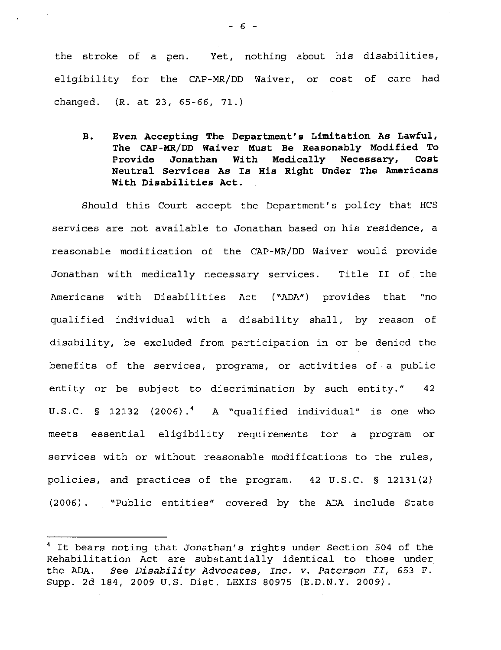the stroke of a pen. Yet, nothing about his disabilities, eligibility for the CAP-MR/DD Waiver, or cost of care had changed. (R. at 23, 65-66, 71.)

**B. Even Accepting The Department's Limitation As Lawful, The CAP-MR/DD Waiver Must Be Reasonably Modified To Provide Jonathan With Medically Necessary, Cost Neutral Services As Is His Right Under The Americans With Disabilities Act.** 

Should this Court accept the Department's policy that HCS services are not available to Jonathan based on his residence, a reasonable modification of the CAP-MR/DD Waiver would provide Jonathan with medically necessary services. Title II of the Americans with Disabilities Act ("ADA") provides that "no qualified individual with a disability shall, by reason of disability, be excluded from participation in or be denied the benefits of the services, programs, or activities of a public entity or be subject to discrimination by such entity." 42 U.S.C.  $\text{S}$  12132 (2006).<sup>4</sup> A "qualified individual" is one who meets essential eligibility requirements for a program or services with or without reasonable modifications to the rules, policies, and practices of the program. 42 u.s.c. § 12131(2) (2006). "Public entities" covered by the ADA include State

<sup>&</sup>lt;sup>4</sup> It bears noting that Jonathan's rights under Section 504 of the Rehabilitation Act are substantially identical to those under the ADA. *See Disability Advocates, Inc. v. Paterson II,* 653 F. Supp. 2d 184, 2009 U.S. Dist. LEXIS 80975 (E.D.N.Y. 2009).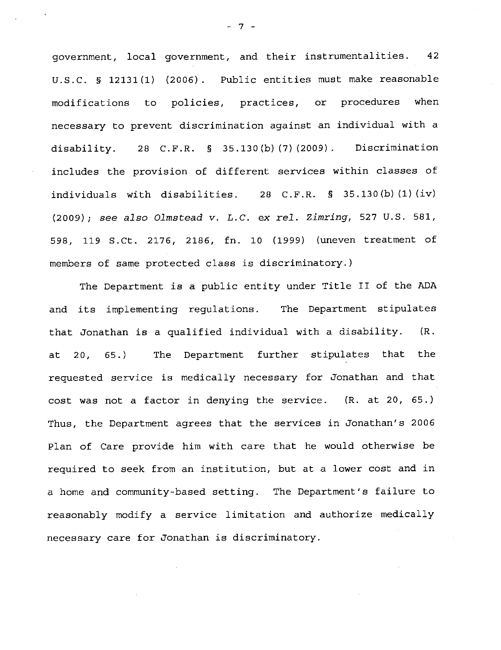government, local government, and their instrumentalities. 42 u.s.c. § 12131(1) (2006). Public entities must make reasonable modifications to policies, practices, or procedures when necessary to prevent discrimination against an individual with a disability. 28 C.F.R. § 35.130(b)(7)(2009). Discrimination includes the provision of different services within classes of individuals with disabilities. 28 C.F.R.  $\S$  35.130(b)(1)(iv) (2009); see *also Olmstead* v. *L.C.* ex *rel. Zimring,* 527 U.S. 581, 598, 119 S.Ct. 2176, 2186, fn. 10 (1999) (uneven treatment of members of same protected class is discriminatory.)

The Department is a public entity under Title II of the ADA and its implementing regulations. The Department stipulates that Jonathan is a qualified individual with a disability. (R. at 20, 65.) The Department further stipulates that the requested service is medically necessary for Jonathan and that cost was not a factor in denying the service. (R. at 20, 65.) Thus, the Department agrees that the services in Jonathan's 2006 Plan of Care provide him with care that he would otherwise be required to seek from an institution, but at a lower cost and in a home and community-based setting. The Department's failure to reasonably modify a service limitation and authorize medically necessary care for Jonathan is discriminatory.

 $\overline{7}$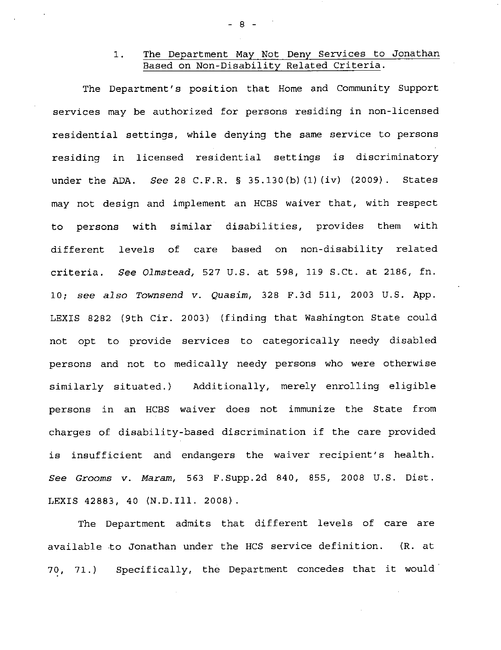### 1. The Department May Not Deny Services to Jonathan Based on Non-Disability Related Criteria.

The Department's position that Home and Community Support services may be authorized for persons residing in non-licensed residential settings, while denying the same service to persons residing in licensed residential settings is discriminatory under the ADA. See 28 C.F.R. § 35.130(b)(1)(iv) (2009). States may not design and implement an HCBS waiver that, with respect to persons with similar disabilities, provides them with different levels of care based on non-disability related criteria. See Olmstead, 527 U.S. at 598, 119 S.Ct. at 2186, fn. 10; see also Townsend v. Quasim, 328 F.3d 511, 2003 U.S. App. LEXIS 8282 (9th Cir. 2003) (finding that Washington State could not opt to provide services to categorically needy disabled persons and not to medically needy persons who were otherwise similarly situated.) Additionally, merely enrolling eligible persons in an HCBS waiver does not immunize the State from charges of disability-based discrimination if the care provided is insufficient and endangers the waiver recipient's health. See Grooms v. Maram, 563 F.Supp.2d 840, 855, 2008 U.S. Dist. LEXIS 42883, 40 (N.D.Ill. 2008).

The Department admits that different levels of care are available to Jonathan under the HCS service definition. (R. at 70, 71.) Specifically, the Department concedes that it would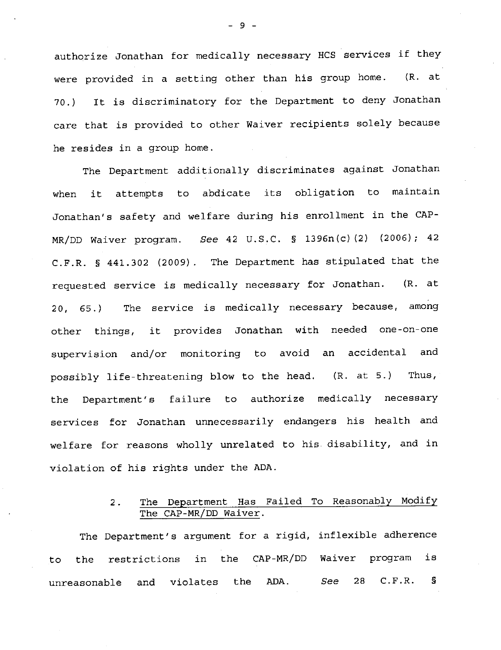authorize Jonathan for medically necessary HCS services if they were provided in a setting other than his group home. (R. at 70.) It is discriminatory for the Department to deny Jonathan care that is provided to other Waiver recipients solely because he resides in a group home.

The Department additionally discriminates against Jonathan when it attempts to abdicate its obligation to maintain Jonathan's safety and welfare during his enrollment in the CAP-MR/DD Waiver program. See 42 U.S.C. § 1396n(c) (2) (2006); 42 C.F.R. § 441.302 (2009). The Department has stipulated that the requested service is medically necessary for Jonathan. (R. at 20, 65.) The service is medically necessary because, among other things, it provides Jonathan with needed one-on-one supervision and/or monitoring to avoid an accidental and possibly life-threatening blow to the head. (R. at 5.) Thus, the Department's failure to authorize medically necessary services for Jonathan unnecessarily endangers his health and welfare for reasons wholly unrelated to his disability, and in violation of his rights under the ADA.

# 2. The Department Has Failed To Reasonably Modify The CAP-MR/DD Waiver.

The Department's argument for a rigid, inflexible adherence to the restrictions in the CAP-MR/DD Waiver program is unreasonable and violates the ADA. See 28 C.F.R. §

- 9 -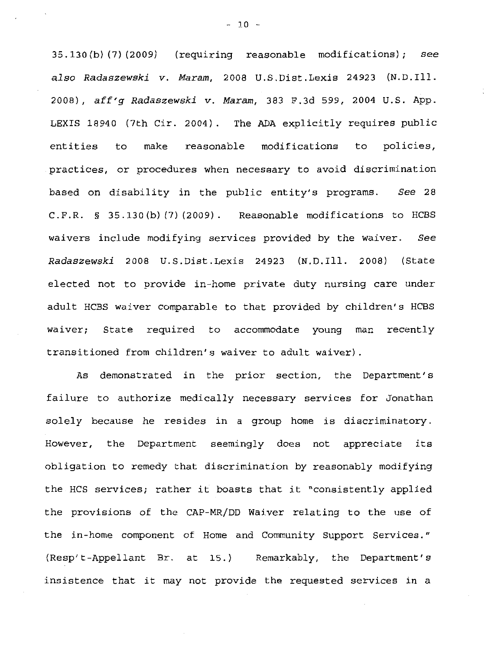35 .130 (b) (7) (2009) (requiring reasonable modifications); see *also Radaszewski v. Maram,* 2008 U.S.Dist.Lexis 24923 (N.D.Ill. 2008), *aff'g Radaszewski v. Maram,* 383 F.3d 599, 2004 U.S. App. LEXIS 18940 (7th Cir. 2004). The ADA explicitly requires public entities to make reasonable modifications to policies, practices, or procedures when necessary to avoid discrimination based on disability in the public entity's programs. *See* <sup>28</sup> C.F.R. § 35.130(b){7){2009). Reasonable modifications to HCBS waivers include modifying services provided by the waiver. *See Radaszewski* 2008 U.S.Dist.Lexis 24923 (N.D.Ill. 2008) (State elected not to provide in-home private duty nursing care under adult HCBS waiver comparable to that provided by children's HCBS waiver; State required to accommodate young man recently transitioned from children's waiver to adult waiver).

As demonstrated in the prior section, the Department's failure to authorize medically necessary services for Jonathan solely because he resides in a group home is discriminatory. However, the Department seemingly does not appreciate its obligation to remedy that discrimination by reasonably modifying the HCS services; rather it boasts that it "consistently applied the provisions of the CAP-MR/DD Waiver relating to the use of the in-home component of Home and Community Support Services." (Resp't-Appellant Br. at 15.) Remarkably, the Department's insistence that it may not provide the requested services in a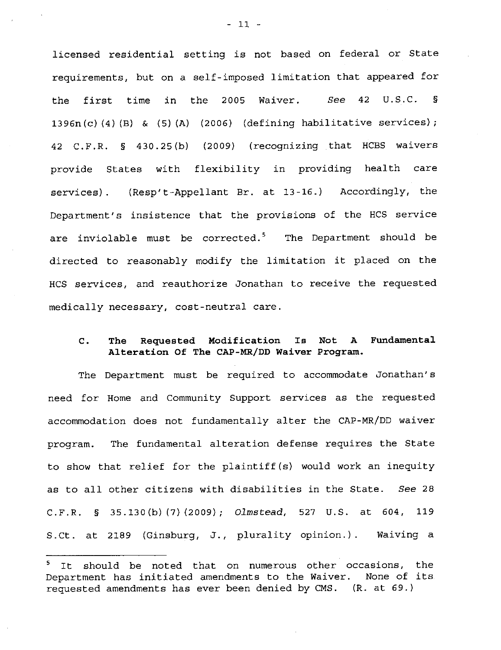licensed residential setting is not based on federal or State requirements, but on a self-imposed limitation that appeared for the first time in the 2005 Waiver. See 42 U.S.C. §  $1396n(c)$  (4) (B) & (5) (A) (2006) (defining habilitative services); 42 C.F.R. § 430.25(b) (2009) (recognizing that HCBS waivers provide States with flexibility in providing health care services). (Resp't-Appellant Br. at 13-16.) Accordingly, the Department's insistence that the provisions of the HCS service are inviolable must be corrected.<sup>5</sup> The Department should be directed to reasonably modify the limitation it placed on the HCS services, and reauthorize Jonathan to receive the requested medically necessary, cost-neutral care.

#### **C. The Requested Modification Is Not A Fundamental Alteration Of The CAP-MR/DD Waiver Program.**

The Department must be required to accommodate Jonathan's need for Home and Community Support services as the requested accommodation does not fundamentally alter the CAP-MR/DD waiver program. The fundamental alteration defense requires the State to show that relief for the plaintiff(s) would work an inequity as to all other citizens with disabilities in the State. See 28 C.F.R. § 35.130(b)(7)(2009); Olmstead, 527 U.S. at 604, 119 S.Ct. at 2189 (Ginsburg, J., plurality opinion.). Waiving a

It should be noted that on numerous other occasions, the Department has initiated amendments to the Waiver. None of its requested amendments has ever been denied by CMS. (R. at 69.)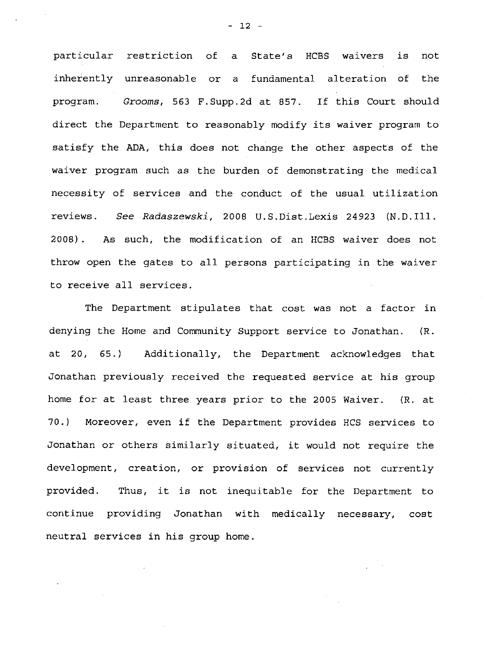particular restriction of a State's HCBS waivers is not inherently unreasonable or a fundamental alteration of the program. Grooms, 563 F.Supp.2d at 857. If this Court should direct the Department to reasonably modify its waiver program to satisfy the ADA, this does not change the other aspects of the waiver program such as the burden of demonstrating the medical necessity of services and the conduct of the usual utilization reviews. See Radaszewski, 2008 U.S.Dist.Lexis 24923 (N.D.Ill. 2008) . As such, the modification of an HCBS waiver does not throw open the gates to all persons participating in the waiver to receive all services.

The Department stipulates that cost was not a factor in denying the Home and Community Support service to Jonathan. (R. at 20, 65.) Additionally, the Department acknowledges that Jonathan previously received the requested service at his group home for at least three years prior to the 2005 Waiver. (R. at 70.) Moreover, even if the Department provides HCS services to Jonathan or others similarly situated, it would not require the development, creation, or provision of services not currently provided. Thus, it is not inequitable for the Department to continue providing Jonathan with medically necessary, cost neutral services in his group home.

- 12 -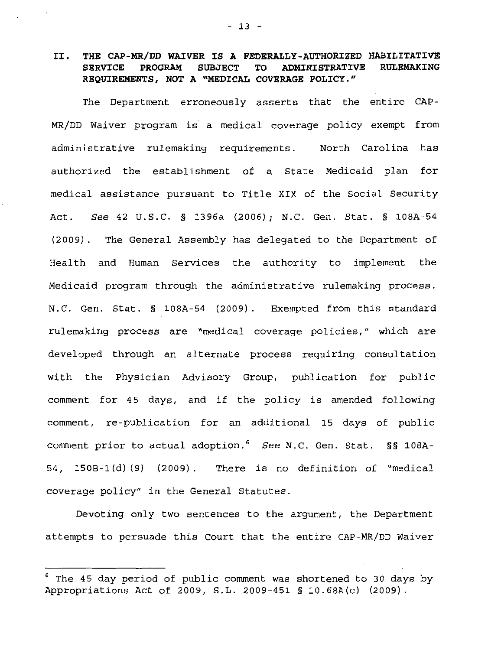## II. **THE CAP-MR/DD WAIVER IS A FEDERALLY-AUTHORIZED HABILITATIVE**  SERVICE PROGRAM SUBJECT TO ADMINISTRATIVE **REQUIREMENTS, NOT A "MEDICAL COVERAGE POLICY."**

The Department erroneously asserts that the entire CAP-MR/DD Waiver program is a medical coverage policy exempt from administrative rulemaking requirements. North Carolina has authorized the establishment of a State Medicaid plan for medical assistance pursuant to Title XIX of the Social Security Act. See 42 U.S.C. § 1396a (2006); N.C. Gen. Stat. § lOBA-54 (2009). The General Assembly has delegated to the Department of Health and Human Services the authority to implement the Medicaid program through the administrative rulemaking process. N.C. Gen. Stat. § lOBA-54 (2009). Exempted from this standard rulemaking process are "medical coverage policies," which are developed through an alternate process requiring consultation with the Physician Advisory Group, publication for public comment for 45 days, and if the policy is amended following comment, re-publication for an additional 15 days of public comment prior to actual adoption.  $6$  See N.C. Gen. Stat. §§ 108A-54, 150B-1 (d) (9) (2009). There is no definition of "medical coverage policy" in the General Statutes.

Devoting only two sentences to the argument, the Department attempts to persuade this Court that the entire CAP-MR/DD Waiver

The 45 day period of public comment was shortened to 30 days by Appropriations Act of 2009, S. L. 2009-451 § 10. 68A (c) (2009) .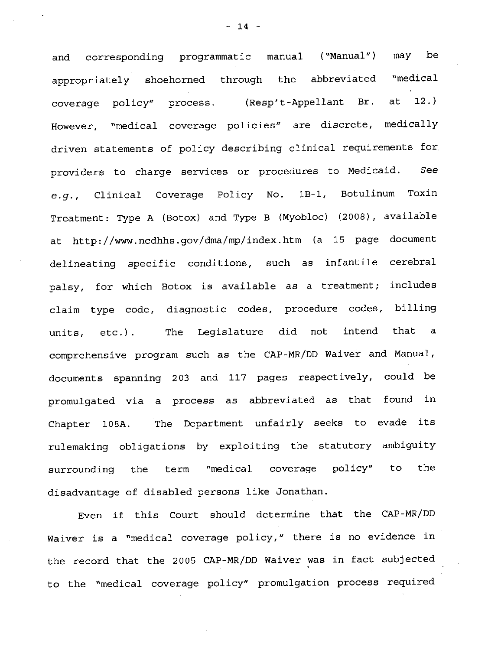and corresponding programmatic manual ("Manual") may be appropriately shoehorned through the abbreviated "medical coverage policy" process. (Resp't-Appellant Br. at 12.) However, "medical coverage policies" are discrete, medically driven statements of policy describing clinical requirements for providers to charge services or procedures to Medicaid. See *e.g.,* Clinical Coverage Policy No. 1B-1, Botulinum Toxin Treatment: Type A (Botox) and Type B (Myobloc) (2008), available at http://www.ncdhhs.gov/dma/mp/index.htm (a 15 page document delineating specific conditions, such as infantile cerebral palsy, for which Botox is available as a treatment; includes claim type code, diagnostic codes, procedure codes, billing units, etc.). The Legislature did not intend that a comprehensive program such as the CAP-MR/DD Waiver and Manual, documents spanning 203 and 117 pages respectively, could be promulgated via a process as abbreviated as that found in Chapter 108A. The Department unfairly seeks to evade its rulemaking obligations by exploiting the statutory ambiguity surrounding the term "medical coverage policy" to the disadvantage of disabled persons like Jonathan.

Even if this Court should determine that the CAP-MR/DD Waiver is a "medical coverage policy," there is no evidence in the record that the 2005 CAP-MR/DD Waiver was in fact subjected to the "medical coverage policy" promulgation process required

 $- 14 -$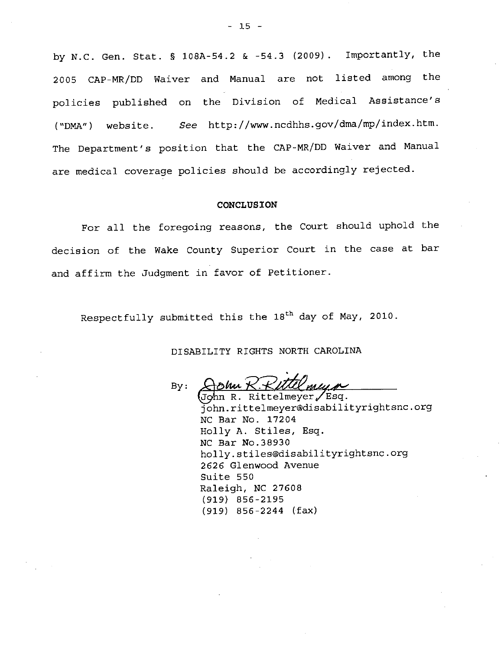by N.C. Gen. Stat. § l0BA-54.2 & -54.3 (2009). Importantly, the 2005 CAP-MR/DD Waiver and Manual are not listed among the policies published on the Division of Medical Assistance's ( "DMA") website. *See* http://www.ncdhhs.gov/dma/mp/index.htm. The Department's position that the CAP-MR/DD Waiver and Manual are medical coverage policies should be accordingly rejected.

#### **CONCLUSION**

For all the foregoing reasons, the Court should uphold the decision of the Wake County Superior Court in the case at bar and affirm the Judgment in favor of Petitioner.

Respectfully submitted this the 18<sup>th</sup> day of May, 2010.

DISABILITY RIGHTS NORTH CAROLINA

By: Hohn K. KUU Mung

john.rittelmeyer@disabilityrightsnc.org NC Bar No. 17204 Holly A. Stiles, Esq. NC Bar No.38930 holly.stiles@disabilityrightsnc.org 2626 Glenwood Avenue Suite 550 Raleigh, NC 27608 (919) 856-2195 (919) 856-2244 (fax)